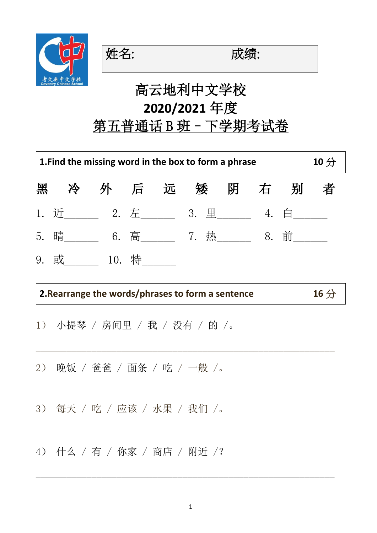

姓名: 财绩:

## 高云地利中文学校 **2020/2021** 年度

# 第五普通话 B 班 - 下学期考试卷

| 1. Find the missing word in the box to form a phrase |                                       |     |       |      |      |     |  | 10 <sup>分</sup> |   |
|------------------------------------------------------|---------------------------------------|-----|-------|------|------|-----|--|-----------------|---|
| 黑                                                    | 冷                                     | 外后远 |       |      | 矮    | 阴 右 |  | 别               | 者 |
|                                                      | 1. 近_________ 2. 左_______ 3. 里_______ |     |       |      |      |     |  | $4.$ $\Box$     |   |
|                                                      | 5. 晴                                  |     |       | 6. 高 | 7. 热 |     |  | 8. 前            |   |
| 9.                                                   | 或                                     |     | 10. 特 |      |      |     |  |                 |   |

 $\_$  , and the set of the set of the set of the set of the set of the set of the set of the set of the set of the set of the set of the set of the set of the set of the set of the set of the set of the set of the set of th

 $\_$  , and the set of the set of the set of the set of the set of the set of the set of the set of the set of the set of the set of the set of the set of the set of the set of the set of the set of the set of the set of th

 $\mathcal{L}_\text{max}$  and the contract of the contract of the contract of the contract of the contract of the contract of the contract of the contract of the contract of the contract of the contract of the contract of the contrac

 $\_$  , and the set of the set of the set of the set of the set of the set of the set of the set of the set of the set of the set of the set of the set of the set of the set of the set of the set of the set of the set of th

### **2.Rearrange the words/phrases to form a sentence 16** 分

- 1) 小提琴 / 房间里 / 我 / 没有 / 的 /。
- 2) 晚饭 / 爸爸 / 面条 / 吃 / 一般 /。
- 3) 每天 / 吃 / 应该 / 水果 / 我们 /。
- 4) 什么 / 有 / 你家 / 商店 / 附近 /?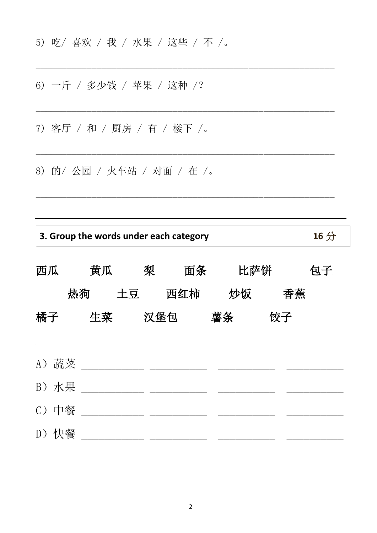- 5) 吃/ 喜欢 / 我 / 水果 / 这些 / 不 /。
- 6) 一斤 / 多少钱 / 苹果 / 这种 /?

7) 客厅 / 和 / 厨房 / 有 / 楼下 /。

8) 的/ 公园 / 火车站 / 对面 / 在 /。

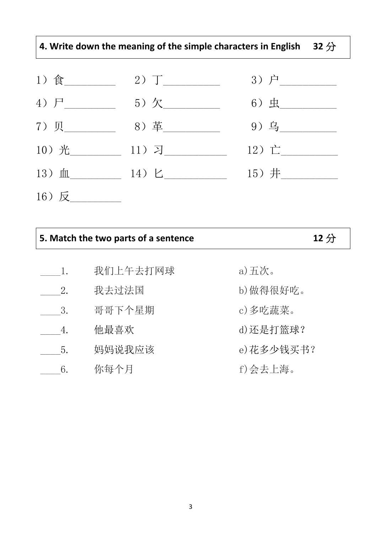### **4. Write down the meaning of the simple characters in English 32** 分

| 1) 食        | $2)$ $T$ ___     | $3)  \vdash$ _ |
|-------------|------------------|----------------|
| 4) $F_{\_}$ | $5)$ 欠           | $6)$ 虫         |
| 7)贝         | 8) 革             | 9) 乌           |
| 10) 光       | $11)$ 习          | 12) 亡          |
| $13)$ 血     | $14) \; \succeq$ | 15) 井          |
| 16) 反       |                  |                |

| 5. Match the two parts of a sentence | 12 <sup>分</sup> |
|--------------------------------------|-----------------|
|--------------------------------------|-----------------|

| 1. | 我们上午去打网球 | a)五次。      |
|----|----------|------------|
| 2. | 我去过法国    | b)做得很好吃。   |
| 3. | 哥哥下个星期   | c)多吃蔬菜。    |
| 4. | 他最喜欢     | d)还是打篮球?   |
| 5. | 妈妈说我应该   | e) 花多少钱买书? |
| 6. | 你每个月     | f)会去上海。    |